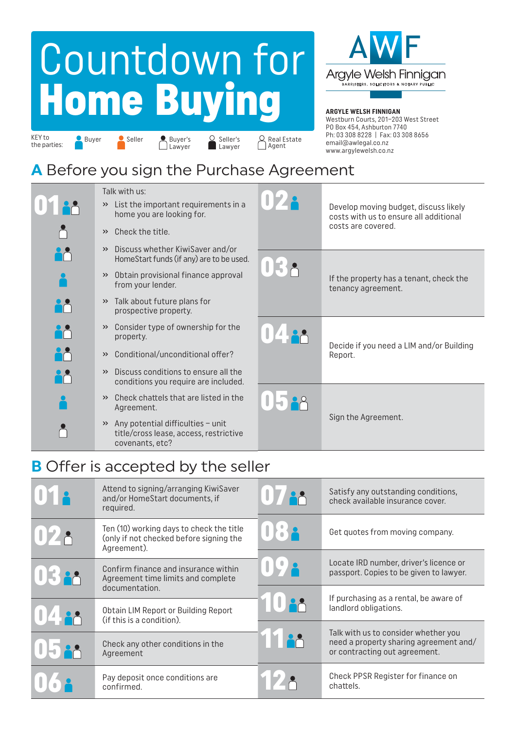# Countdown for Home Buying



#### **ARGYLE WELSH FINNIGAN**

KEY to the parties: Buyer Seller **Buyer's** 

Seller's Lawyer

Seller Buyer's Seller's Q Real Estate<br>
Lawyer Lawyer Agent

Westburn Courts, 201–203 West Street PO Box 454, Ashburton 7740 Ph: 03 308 8228 | Fax: 03 308 8656 email@awlegal.co.nz www.argylewelsh.co.nz

#### **A** Before you sign the Purchase Agreement

Lawyer

|                | Talk with us:<br>List the important requirements in a<br>$\rightarrow$<br>home you are looking for.<br>Check the title.<br>$\rightarrow$ | 172        | Develop moving budget, discuss likely<br>costs with us to ensure all additional<br>costs are covered. |
|----------------|------------------------------------------------------------------------------------------------------------------------------------------|------------|-------------------------------------------------------------------------------------------------------|
|                | Discuss whether KiwiSaver and/or<br>$\rightarrow$<br>HomeStart funds (if any) are to be used.                                            | <b>IEP</b> |                                                                                                       |
|                | Obtain provisional finance approval<br>$\rightarrow$<br>from your lender.                                                                |            | If the property has a tenant, check the<br>tenancy agreement.                                         |
|                | Talk about future plans for<br>$\rightarrow$<br>prospective property.                                                                    |            |                                                                                                       |
| iå<br>10       | Consider type of ownership for the<br>$\rightarrow$<br>property.                                                                         |            |                                                                                                       |
| HÅ<br>Dødsfall | Conditional/unconditional offer?<br>$\rightarrow$                                                                                        |            | Decide if you need a LIM and/or Building<br>Report.                                                   |
|                | Discuss conditions to ensure all the<br>$\rightarrow$<br>conditions you require are included.                                            |            |                                                                                                       |
|                | Check chattels that are listed in the<br>$\rightarrow$<br>Agreement.                                                                     |            |                                                                                                       |
|                | $\rightarrow$ Any potential difficulties - unit<br>title/cross lease, access, restrictive<br>covenants, etc?                             |            | Sign the Agreement.                                                                                   |

#### **B** Offer is accepted by the seller

|               | Attend to signing/arranging KiwiSaver<br>and/or HomeStart documents, if<br>required.               |              | Satisfy any outstanding conditions,<br>check available insurance cover.                                         |
|---------------|----------------------------------------------------------------------------------------------------|--------------|-----------------------------------------------------------------------------------------------------------------|
| <u> 1728 </u> | Ten (10) working days to check the title<br>(only if not checked before signing the<br>Agreement). | 082          | Get quotes from moving company.                                                                                 |
| UE SA         | Confirm finance and insurance within<br>Agreement time limits and complete                         | $\cdot$ IT ) | Locate IRD number, driver's licence or<br>passport. Copies to be given to lawyer.                               |
|               | documentation.<br>Obtain LIM Report or Building Report                                             |              | If purchasing as a rental, be aware of<br>landlord obligations.                                                 |
|               | (if this is a condition).<br>Check any other conditions in the<br>Agreement                        |              | Talk with us to consider whether you<br>need a property sharing agreement and/<br>or contracting out agreement. |
|               | Pay deposit once conditions are<br>confirmed.                                                      | <b>IVA</b>   | Check PPSR Register for finance on<br>chattels.                                                                 |